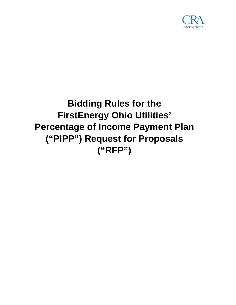

# **Bidding Rules for the FirstEnergy Ohio Utilities' Percentage of Income Payment Plan ("PIPP") Request for Proposals ("RFP")**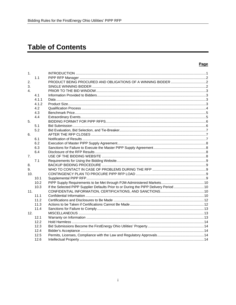# **Table of Contents**

#### Page

| $\mathbf{1}$ . |       |                                                                                        |  |
|----------------|-------|----------------------------------------------------------------------------------------|--|
|                | 1.1   |                                                                                        |  |
| 2.             |       |                                                                                        |  |
| 3.             |       |                                                                                        |  |
| $\mathbf{4}$ . |       |                                                                                        |  |
|                | 4.1   |                                                                                        |  |
|                | 4.1.1 |                                                                                        |  |
|                | 4.1.2 |                                                                                        |  |
|                | 4.2   |                                                                                        |  |
|                | 4.3   |                                                                                        |  |
|                | 4.4   |                                                                                        |  |
| 5.             |       |                                                                                        |  |
|                | 5.1   |                                                                                        |  |
|                | 5.2   |                                                                                        |  |
| 6.             |       |                                                                                        |  |
|                | 6.1   |                                                                                        |  |
|                | 6.2   |                                                                                        |  |
|                | 6.3   |                                                                                        |  |
|                | 6.4   |                                                                                        |  |
| 7.             |       |                                                                                        |  |
|                | 7.1   |                                                                                        |  |
| 8.             |       |                                                                                        |  |
| 9.             |       |                                                                                        |  |
| 10.            |       |                                                                                        |  |
|                | 10.1  |                                                                                        |  |
|                | 10.2  |                                                                                        |  |
|                | 10.3  | If the Selected PIPP Supplier Defaults Prior to or During the PIPP Delivery Period  10 |  |
| 11.            |       |                                                                                        |  |
|                | 11.1  |                                                                                        |  |
|                | 11.2  |                                                                                        |  |
|                | 11.3  |                                                                                        |  |
|                | 11.4  |                                                                                        |  |
| 12.            |       |                                                                                        |  |
|                | 12.1  |                                                                                        |  |
|                | 12.2  |                                                                                        |  |
|                | 12.3  |                                                                                        |  |
|                | 12.4  |                                                                                        |  |
|                | 12.5  |                                                                                        |  |
|                | 12.6  |                                                                                        |  |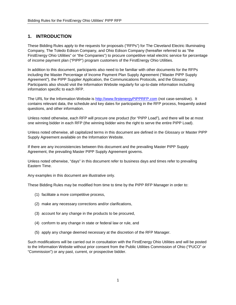# <span id="page-2-0"></span>**1. INTRODUCTION**

These Bidding Rules apply to the requests for proposals ("RFPs") for The Cleveland Electric Illuminating Company, The Toledo Edison Company, and Ohio Edison Company (hereafter referred to as "the FirstEnergy Ohio Utilities" or "the Companies") to procure competitive retail electric service for percentage of income payment plan ("PIPP") program customers of the FirstEnergy Ohio Utilities.

In addition to this document, participants also need to be familiar with other documents for the RFPs including the Master Percentage of Income Payment Plan Supply Agreement ("Master PIPP Supply Agreement"), the PIPP Supplier Application, the Communications Protocols, and the Glossary. Participants also should visit the Information Website regularly for up-to-date information including information specific to each RFP.

The URL for the Information Website is [http://www.firstenergyPIPPRFP.com](http://www.firstenergypipprfp.com/) (not case-sensitive). It contains relevant data, the schedule and key dates for participating in the RFP process, frequently asked questions, and other information.

Unless noted otherwise, each RFP will procure one product (for "PIPP Load"), and there will be at most one winning bidder in each RFP (the winning bidder wins the right to serve the entire PIPP Load).

Unless noted otherwise, all capitalized terms in this document are defined in the Glossary or Master PIPP Supply Agreement available on the Information Website.

If there are any inconsistencies between this document and the prevailing Master PIPP Supply Agreement, the prevailing Master PIPP Supply Agreement governs.

Unless noted otherwise, "days" in this document refer to business days and times refer to prevailing Eastern Time.

Any examples in this document are illustrative only.

These Bidding Rules may be modified from time to time by the PIPP RFP Manager in order to:

- (1) facilitate a more competitive process,
- (2) make any necessary corrections and/or clarifications,
- (3) account for any change in the products to be procured,
- (4) conform to any change in state or federal law or rule, and
- (5) apply any change deemed necessary at the discretion of the RFP Manager.

Such modifications will be carried out in consultation with the FirstEnergy Ohio Utilities and will be posted to the Information Website without prior consent from the Public Utilities Commission of Ohio ("PUCO" or "Commission") or any past, current, or prospective bidder.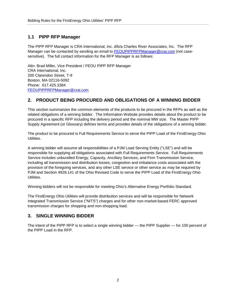# <span id="page-3-0"></span>**1.1 PIPP RFP Manager**

The PIPP RFP Manager is CRA International, Inc. d/b/a Charles River Associates, Inc. The RFP Manager can be contacted by sending an email to [FEOUPIPPRFPManager@crai.com](mailto:FEOUPIPPRFPAuctionManager@crai.com) (not casesensitive). The full contact information for the RFP Manager is as follows:

Attn: Brad Miller, Vice President / FEOU PIPP RFP Manager CRA International, Inc. 200 Clarendon Street, T-9 Boston, MA 02116-5092 Phone: 617.425.3384 [FEOUPIPPRFPManager@crai.com](mailto:FEOUPIPPRFPManager@crai.com)

#### <span id="page-3-1"></span>**2. PRODUCT BEING PROCURED AND OBLIGATIONS OF A WINNING BIDDER**

This section summarizes the common elements of the products to be procured in the RFPs as well as the related obligations of a winning bidder. The Information Website provides details about the product to be procured in a specific RFP including the delivery period and the nominal MW size. The Master PIPP Supply Agreement (or Glossary) defines terms and provides details of the obligations of a winning bidder.

The product to be procured is Full Requirements Service to serve the PIPP Load of the FirstEnergy Ohio Utilities.

A winning bidder will assume all responsibilities of a PJM Load Serving Entity ("LSE") and will be responsible for supplying all obligations associated with Full Requirements Service. Full Requirements Service includes unbundled Energy, Capacity, Ancillary Services, and Firm Transmission Service, including all transmission and distribution losses, congestion and imbalance costs associated with the provision of the foregoing services, and any other LSE service or other service as may be required by PJM and Section 4928.141 of the Ohio Revised Code to serve the PIPP Load of the FirstEnergy Ohio Utilities.

Winning bidders will not be responsible for meeting Ohio's Alternative Energy Portfolio Standard.

The FirstEnergy Ohio Utilities will provide distribution services and will be responsible for Network Integrated Transmission Service ("NITS") charges and for other non-market-based FERC approved transmission charges for shopping and non-shopping load.

#### <span id="page-3-2"></span>**3. SINGLE WINNING BIDDER**

The intent of the PIPP RFP is to select a single winning bidder — the PIPP Supplier — for 100 percent of the PIPP Load in the RFP.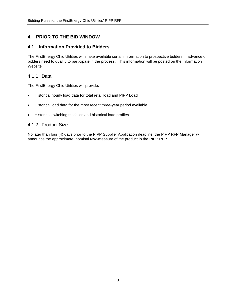# <span id="page-4-0"></span>**4. PRIOR TO THE BID WINDOW**

#### <span id="page-4-1"></span>**4.1 Information Provided to Bidders**

The FirstEnergy Ohio Utilities will make available certain information to prospective bidders in advance of bidders need to qualify to participate in the process. This information will be posted on the Information Website.

#### <span id="page-4-2"></span>4.1.1 Data

The FirstEnergy Ohio Utilities will provide:

- Historical hourly load data for total retail load and PIPP Load.
- Historical load data for the most recent three-year period available.
- Historical switching statistics and historical load profiles.

#### <span id="page-4-3"></span>4.1.2 Product Size

No later than four (4) days prior to the PIPP Supplier Application deadline, the PIPP RFP Manager will announce the approximate, nominal MW-measure of the product in the PIPP RFP.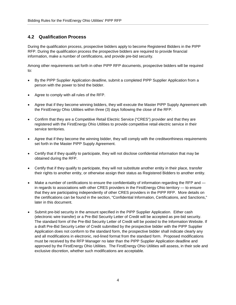# <span id="page-5-0"></span>**4.2 Qualification Process**

During the qualification process, prospective bidders apply to become Registered Bidders in the PIPP RFP. During the qualification process the prospective bidders are required to provide financial information, make a number of certifications, and provide pre-bid security.

Among other requirements set forth in other PIPP RFP documents, prospective bidders will be required to:

- By the PIPP Supplier Application deadline, submit a completed PIPP Supplier Application from a person with the power to bind the bidder.
- Agree to comply with all rules of the RFP.
- Agree that if they become winning bidders, they will execute the Master PIPP Supply Agreement with the FirstEnergy Ohio Utilities within three (3) days following the close of the RFP.
- Confirm that they are a Competitive Retail Electric Service ("CRES") provider and that they are registered with the FirstEnergy Ohio Utilities to provide competitive retail electric service in their service territories.
- Agree that if they become the winning bidder, they will comply with the creditworthiness requirements set forth in the Master PIPP Supply Agreement.
- Certify that if they qualify to participate, they will not disclose confidential information that may be obtained during the RFP.
- Certify that if they qualify to participate, they will not substitute another entity in their place, transfer their rights to another entity, or otherwise assign their status as Registered Bidders to another entity.
- Make a number of certifications to ensure the confidentiality of information regarding the RFP and in regards to associations with other CRES providers in the FirstEnergy Ohio territory — to ensure that they are participating independently of other CRES providers in the PIPP RFP. More details on the certifications can be found in the section, "Confidential Information, Certifications, and Sanctions," later in this document.
- Submit pre-bid security in the amount specified in the PIPP Supplier Application. Either cash (electronic wire transfer) or a Pre-Bid Security Letter of Credit will be accepted as pre-bid security. The standard form of the Pre-Bid Security Letter of Credit will be posted to the Information Website. If a draft Pre-Bid Security Letter of Credit submitted by the prospective bidder with the PIPP Supplier Application does not conform to the standard form, the prospective bidder shall indicate clearly any and all modifications in electronic, red-lined format from the standard form. Proposed modifications must be received by the RFP Manager no later than the PIPP Supplier Application deadline and approved by the FirstEnergy Ohio Utilities. The FirstEnergy Ohio Utilities will assess, in their sole and exclusive discretion, whether such modifications are acceptable.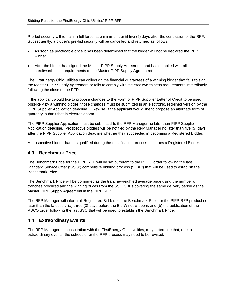Pre-bid security will remain in full force, at a minimum, until five (5) days after the conclusion of the RFP. Subsequently, a bidder's pre-bid security will be cancelled and returned as follows:

- As soon as practicable once it has been determined that the bidder will not be declared the RFP winner.
- After the bidder has signed the Master PIPP Supply Agreement and has complied with all creditworthiness requirements of the Master PIPP Supply Agreement.

The FirstEnergy Ohio Utilities can collect on the financial guarantees of a winning bidder that fails to sign the Master PIPP Supply Agreement or fails to comply with the creditworthiness requirements immediately following the close of the RFP.

If the applicant would like to propose changes to the Form of PIPP Supplier Letter of Credit to be used post-RFP by a winning bidder, those changes must be submitted in an electronic, red-lined version by the PIPP Supplier Application deadline. Likewise, if the applicant would like to propose an alternate form of guaranty, submit that in electronic form.

The PIPP Supplier Application must be submitted to the RFP Manager no later than PIPP Supplier Application deadline. Prospective bidders will be notified by the RFP Manager no later than five (5) days after the PIPP Supplier Application deadline whether they succeeded in becoming a Registered Bidder.

A prospective bidder that has qualified during the qualification process becomes a Registered Bidder.

#### <span id="page-6-0"></span>**4.3 Benchmark Price**

The Benchmark Price for the PIPP RFP will be set pursuant to the PUCO order following the last Standard Service Offer ("SSO") competitive bidding process ("CBP") that will be used to establish the Benchmark Price.

The Benchmark Price will be computed as the tranche-weighted average price using the number of tranches procured and the winning prices from the SSO CBPs covering the same delivery period as the Master PIPP Supply Agreement in the PIPP RFP.

The RFP Manager will inform all Registered Bidders of the Benchmark Price for the PIPP RFP product no later than the latest of: (a) three (3) days before the Bid Window opens and (b) the publication of the PUCO order following the last SSO that will be used to establish the Benchmark Price.

#### <span id="page-6-1"></span>**4.4 Extraordinary Events**

The RFP Manager, in consultation with the FirstEnergy Ohio Utilities, may determine that, due to extraordinary events, the schedule for the RFP process may need to be revised.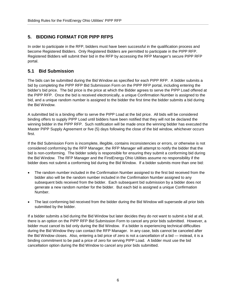# <span id="page-7-0"></span>**5. BIDDING FORMAT FOR PIPP RFPS**

In order to participate in the RFP, bidders must have been successful in the qualification process and become Registered Bidders. Only Registered Bidders are permitted to participate in the PIPP RFP. Registered Bidders will submit their bid in the RFP by accessing the RFP Manager's secure PIPP RFP portal.

# <span id="page-7-1"></span>**5.1 Bid Submission**

The bids can be submitted during the Bid Window as specified for each PIPP RFP. A bidder submits a bid by completing the PIPP RFP Bid Submission Form on the PIPP RFP portal, including entering the bidder's bid price. The bid price is the price at which the Bidder agrees to serve the PIPP Load offered at the PIPP RFP. Once the bid is received electronically, a unique Confirmation Number is assigned to the bid, and a unique random number is assigned to the bidder the first time the bidder submits a bid during the Bid Window.

A submitted bid is a binding offer to serve the PIPP Load at the bid price. All bids will be considered binding offers to supply PIPP Load until bidders have been notified that they will not be declared the winning bidder in the PIPP RFP. Such notification will be made once the winning bidder has executed the Master PIPP Supply Agreement or five (5) days following the close of the bid window, whichever occurs first.

If the Bid Submission Form is incomplete, illegible, contains inconsistencies or errors, or otherwise is not considered conforming by the RFP Manager, the RFP Manager will attempt to notify the bidder that the bid is non-conforming. The bidder solely is responsible for ensuring they submit a conforming bid during the Bid Window. The RFP Manager and the FirstEnergy Ohio Utilities assume no responsibility if the bidder does not submit a conforming bid during the Bid Window. If a bidder submits more than one bid:

- The random number included in the Confirmation Number assigned to the first bid received from the bidder also will be the random number included in the Confirmation Number assigned to any subsequent bids received from the bidder. Each subsequent bid submission by a bidder does not generate a new random number for the bidder. But each bid is assigned a unique Confirmation Number.
- The last conforming bid received from the bidder during the Bid Window will supersede all prior bids submitted by the bidder.

If a bidder submits a bid during the Bid Window but later decides they do not want to submit a bid at all, there is an option on the PIPP RFP Bid Submission Form to cancel any prior bids submitted. However, a bidder must cancel its bid only during the Bid Window. If a bidder is experiencing technical difficulties during the Bid Window they can contact the RFP Manager. In any case, bids cannot be canceled after the Bid Window closes. Also, entering a bid price of zero is not a cancellation of a bid — instead, it is a binding commitment to be paid a price of zero for serving PIPP Load. A bidder must use the bid cancellation option during the Bid Window to cancel any prior bids submitted.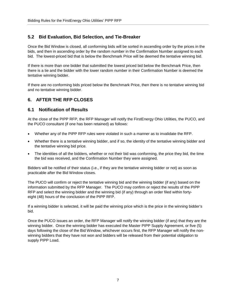# <span id="page-8-0"></span>**5.2 Bid Evaluation, Bid Selection, and Tie-Breaker**

Once the Bid Window is closed, all conforming bids will be sorted in ascending order by the prices in the bids, and then in ascending order by the random number in the Confirmation Number assigned to each bid. The lowest-priced bid that is below the Benchmark Price will be deemed the tentative winning bid.

If there is more than one bidder that submitted the lowest priced bid below the Benchmark Price, then there is a tie and the bidder with the lower random number in their Confirmation Number is deemed the tentative winning bidder.

If there are no conforming bids priced below the Benchmark Price, then there is no tentative winning bid and no tentative winning bidder.

# <span id="page-8-1"></span>**6. AFTER THE RFP CLOSES**

#### <span id="page-8-2"></span>**6.1 Notification of Results**

At the close of the PIPP RFP, the RFP Manager will notify the FirstEnergy Ohio Utilities, the PUCO, and the PUCO consultant (if one has been retained) as follows:

- Whether any of the PIPP RFP rules were violated in such a manner as to invalidate the RFP.
- Whether there is a tentative winning bidder, and if so, the identity of the tentative winning bidder and the tentative winning bid price.
- The identities of all the bidders, whether or not their bid was conforming, the price they bid, the time the bid was received, and the Confirmation Number they were assigned.

Bidders will be notified of their status (i.e., if they are the tentative winning bidder or not) as soon as practicable after the Bid Window closes.

The PUCO will confirm or reject the tentative winning bid and the winning bidder (if any) based on the information submitted by the RFP Manager. The PUCO may confirm or reject the results of the PIPP RFP and select the winning bidder and the winning bid (if any) through an order filed within fortyeight (48) hours of the conclusion of the PIPP RFP.

If a winning bidder is selected, it will be paid the winning price which is the price in the winning bidder's bid.

Once the PUCO issues an order, the RFP Manager will notify the winning bidder (if any) that they are the winning bidder. Once the winning bidder has executed the Master PIPP Supply Agreement, or five (5) days following the close of the Bid Window, whichever occurs first, the RFP Manager will notify the nonwinning bidders that they have not won and bidders will be released from their potential obligation to supply PIPP Load.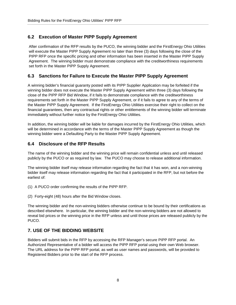# <span id="page-9-0"></span>**6.2 Execution of Master PIPP Supply Agreement**

After confirmation of the RFP results by the PUCO, the winning bidder and the FirstEnergy Ohio Utilities will execute the Master PIPP Supply Agreement no later than three (3) days following the close of the PIPP RFP once the specific pricing and other information has been inserted in the Master PIPP Supply Agreement. The winning bidder must demonstrate compliance with the creditworthiness requirements set forth in the Master PIPP Supply Agreement.

#### <span id="page-9-1"></span>**6.3 Sanctions for Failure to Execute the Master PIPP Supply Agreement**

A winning bidder's financial guaranty posted with its PIPP Supplier Application may be forfeited if the winning bidder does not execute the Master PIPP Supply Agreement within three (3) days following the close of the PIPP RFP Bid Window, if it fails to demonstrate compliance with the creditworthiness requirements set forth in the Master PIPP Supply Agreement, or if it fails to agree to any of the terms of the Master PIPP Supply Agreement. If the FirstEnergy Ohio Utilities exercise their right to collect on the financial guarantees, then any contractual rights or other entitlements of the winning bidder will terminate immediately without further notice by the FirstEnergy Ohio Utilities.

In addition, the winning bidder will be liable for damages incurred by the FirstEnergy Ohio Utilities, which will be determined in accordance with the terms of the Master PIPP Supply Agreement as though the winning bidder were a Defaulting Party to the Master PIPP Supply Agreement.

# <span id="page-9-2"></span>**6.4 Disclosure of the RFP Results**

The name of the winning bidder and the winning price will remain confidential unless and until released publicly by the PUCO or as required by law. The PUCO may choose to release additional information.

The winning bidder itself may release information regarding the fact that it has won, and a non-winning bidder itself may release information regarding the fact that it participated in the RFP, but not before the earliest of:

- (1) A PUCO order confirming the results of the PIPP RFP.
- (2) Forty-eight (48) hours after the Bid Window closes.

The winning bidder and the non-winning bidders otherwise continue to be bound by their certifications as described elsewhere. In particular, the winning bidder and the non-winning bidders are not allowed to reveal bid prices or the winning price in the RFP unless and until those prices are released publicly by the PUCO.

# <span id="page-9-3"></span>**7. USE OF THE BIDDING WEBSITE**

Bidders will submit bids in the RFP by accessing the RFP Manager's secure PIPP RFP portal. An Authorized Representative of a bidder will access the PIPP RFP portal using their own Web browser. The URL address for the PIPP RFP portal, as well as user names and passwords, will be provided to Registered Bidders prior to the start of the RFP process.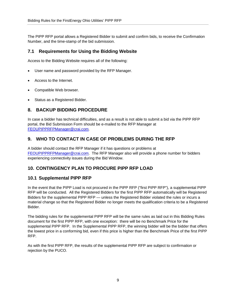The PIPP RFP portal allows a Registered Bidder to submit and confirm bids, to receive the Confirmation Number, and the time-stamp of the bid submission.

#### <span id="page-10-0"></span>**7.1 Requirements for Using the Bidding Website**

Access to the Bidding Website requires all of the following:

- User name and password provided by the RFP Manager.
- Access to the Internet.
- Compatible Web browser.
- Status as a Registered Bidder.

#### <span id="page-10-1"></span>**8. BACKUP BIDDING PROCEDURE**

In case a bidder has technical difficulties, and as a result is not able to submit a bid via the PIPP RFP portal, the Bid Submission Form should be e-mailed to the RFP Manager at [FEOUPIPPRFPManager@crai.com.](mailto:FEOUPIPPRFPManager@crai.com)

#### <span id="page-10-2"></span>**9. WHO TO CONTACT IN CASE OF PROBLEMS DURING THE RFP**

A bidder should contact the RFP Manager if it has questions or problems at [FEOUPIPPRFPManager@crai.com.](mailto:FEOUPIPPRFPManager@crai.com) The RFP Manager also will provide a phone number for bidders experiencing connectivity issues during the Bid Window.

#### <span id="page-10-3"></span>**10. CONTINGENCY PLAN TO PROCURE PIPP RFP LOAD**

#### <span id="page-10-4"></span>**10.1 Supplemental PIPP RFP**

In the event that the PIPP Load is not procured in the PIPP RFP ("first PIPP RFP"), a supplemental PIPP RFP will be conducted. All the Registered Bidders for the first PIPP RFP automatically will be Registered Bidders for the supplemental PIPP RFP — unless the Registered Bidder violated the rules or incurs a material change so that the Registered Bidder no longer meets the qualification criteria to be a Registered Bidder.

The bidding rules for the supplemental PIPP RFP will be the same rules as laid out in this Bidding Rules document for the first PIPP RFP, with one exception: there will be no Benchmark Price for the supplemental PIPP RFP. In the Supplemental PIPP RFP, the winning bidder will be the bidder that offers the lowest price in a conforming bid, even if this price is higher than the Benchmark Price of the first PIPP RFP.

As with the first PIPP RFP, the results of the supplemental PIPP RFP are subject to confirmation or rejection by the PUCO.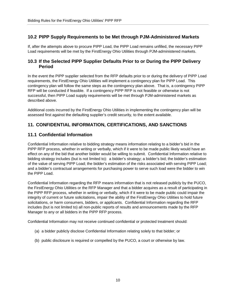# <span id="page-11-0"></span>**10.2 PIPP Supply Requirements to be Met through PJM-Administered Markets**

If, after the attempts above to procure PIPP Load, the PIPP Load remains unfilled, the necessary PIPP Load requirements will be met by the FirstEnergy Ohio Utilities through PJM-administered markets.

#### <span id="page-11-1"></span>**10.3 If the Selected PIPP Supplier Defaults Prior to or During the PIPP Delivery Period**

In the event the PIPP supplier selected from the RFP defaults prior to or during the delivery of PIPP Load requirements, the FirstEnergy Ohio Utilities will implement a contingency plan for PIPP Load. This contingency plan will follow the same steps as the contingency plan above. That is, a contingency PIPP RFP will be conducted if feasible. If a contingency PIPP RFP is not feasible or otherwise is not successful, then PIPP Load supply requirements will be met through PJM-administered markets as described above.

Additional costs incurred by the FirstEnergy Ohio Utilities in implementing the contingency plan will be assessed first against the defaulting supplier's credit security, to the extent available.

# <span id="page-11-2"></span>**11. CONFIDENTIAL INFORMATION, CERTIFICATIONS, AND SANCTIONS**

#### <span id="page-11-3"></span>**11.1 Confidential Information**

Confidential Information relative to bidding strategy means information relating to a bidder's bid in the PIPP RFP process, whether in writing or verbally, which if it were to be made public likely would have an effect on any of the bid that another bidder would be willing to submit. Confidential Information relative to bidding strategy includes (but is not limited to): a bidder's strategy; a bidder's bid; the bidder's estimation of the value of serving PIPP Load; the bidder's estimation of the risks associated with serving PIPP Load; and a bidder's contractual arrangements for purchasing power to serve such load were the bidder to win the PIPP Load.

Confidential Information regarding the RFP means information that is not released publicly by the PUCO, the FirstEnergy Ohio Utilities or the RFP Manager and that a bidder acquires as a result of participating in the PIPP RFP process, whether in writing or verbally, which if it were to be made public could impair the integrity of current or future solicitations, impair the ability of the FirstEnergy Ohio Utilities to hold future solicitations, or harm consumers, bidders, or applicants. Confidential Information regarding the RFP includes (but is not limited to) all non-public reports of results and announcements made by the RFP Manager to any or all bidders in the PIPP RFP process.

Confidential Information may not receive continued confidential or protected treatment should:

- (a) a bidder publicly disclose Confidential Information relating solely to that bidder; or
- (b) public disclosure is required or compelled by the PUCO, a court or otherwise by law.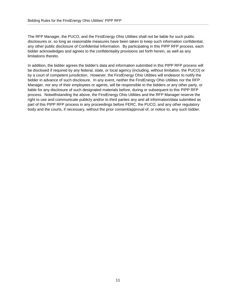The RFP Manager, the PUCO, and the FirstEnergy Ohio Utilities shall not be liable for such public disclosures or, so long as reasonable measures have been taken to keep such information confidential, any other public disclosure of Confidential Information. By participating in this PIPP RFP process, each bidder acknowledges and agrees to the confidentiality provisions set forth herein, as well as any limitations thereto.

In addition, the bidder agrees the bidder's data and information submitted in this PIPP RFP process will be disclosed if required by any federal, state, or local agency (including, without limitation, the PUCO) or by a court of competent jurisdiction. However, the FirstEnergy Ohio Utilities will endeavor to notify the bidder in advance of such disclosure. In any event, neither the FirstEnergy Ohio Utilities nor the RFP Manager, nor any of their employees or agents, will be responsible to the bidders or any other party, or liable for any disclosure of such designated materials before, during or subsequent to this PIPP RFP process. Notwithstanding the above, the FirstEnergy Ohio Utilities and the RFP Manager reserve the right to use and communicate publicly and/or to third parties any and all information/data submitted as part of this PIPP RFP process in any proceedings before FERC, the PUCO, and any other regulatory body and the courts, if necessary, without the prior consent/approval of, or notice to, any such bidder.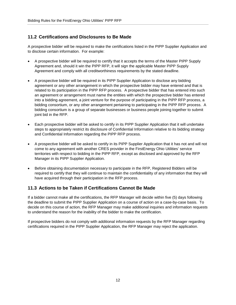# <span id="page-13-0"></span>**11.2 Certifications and Disclosures to Be Made**

A prospective bidder will be required to make the certifications listed in the PIPP Supplier Application and to disclose certain information. For example:

- A prospective bidder will be required to certify that it accepts the terms of the Master PIPP Supply Agreement and, should it win the PIPP RFP, it will sign the applicable Master PIPP Supply Agreement and comply with all creditworthiness requirements by the stated deadline.
- A prospective bidder will be required in its PIPP Supplier Application to disclose any bidding agreement or any other arrangement in which the prospective bidder may have entered and that is related to its participation in the PIPP RFP process. A prospective bidder that has entered into such an agreement or arrangement must name the entities with which the prospective bidder has entered into a bidding agreement, a joint venture for the purpose of participating in the PIPP RFP process, a bidding consortium, or any other arrangement pertaining to participating in the PIPP RFP process. A bidding consortium is a group of separate businesses or business people joining together to submit joint bid in the RFP.
- Each prospective bidder will be asked to certify in its PIPP Supplier Application that it will undertake steps to appropriately restrict its disclosure of Confidential Information relative to its bidding strategy and Confidential Information regarding the PIPP RFP process.
- A prospective bidder will be asked to certify in its PIPP Supplier Application that it has not and will not come to any agreement with another CRES provider in the FirstEnergy Ohio Utilities' service territories with respect to bidding in the PIPP RFP, except as disclosed and approved by the RFP Manager in its PIPP Supplier Application.
- Before obtaining documentation necessary to participate in the RFP, Registered Bidders will be required to certify that they will continue to maintain the confidentiality of any information that they will have acquired through their participation in the RFP process.

#### <span id="page-13-1"></span>**11.3 Actions to be Taken if Certifications Cannot Be Made**

If a bidder cannot make all the certifications, the RFP Manager will decide within five (5) days following the deadline to submit the PIPP Supplier Application on a course of action on a case-by-case basis. To decide on this course of action, the RFP Manager may make additional inquiries and information requests to understand the reason for the inability of the bidder to make the certification.

If prospective bidders do not comply with additional information requests by the RFP Manager regarding certifications required in the PIPP Supplier Application, the RFP Manager may reject the application.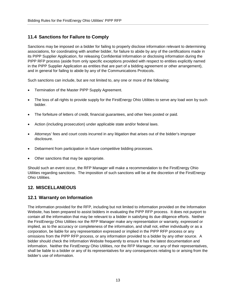# <span id="page-14-0"></span>**11.4 Sanctions for Failure to Comply**

Sanctions may be imposed on a bidder for failing to properly disclose information relevant to determining associations, for coordinating with another bidder, for failure to abide by any of the certifications made in its PIPP Supplier Application, for releasing Confidential Information or disclosing information during the PIPP RFP process (aside from only specific exceptions provided with respect to entities explicitly named in the PIPP Supplier Application as entities that are part of a bidding agreement or other arrangement), and in general for failing to abide by any of the Communications Protocols.

Such sanctions can include, but are not limited to, any one or more of the following:

- Termination of the Master PIPP Supply Agreement.
- The loss of all rights to provide supply for the FirstEnergy Ohio Utilities to serve any load won by such bidder.
- The forfeiture of letters of credit, financial guarantees, and other fees posted or paid.
- Action (including prosecution) under applicable state and/or federal laws.
- Attorneys' fees and court costs incurred in any litigation that arises out of the bidder's improper disclosure.
- Debarment from participation in future competitive bidding processes.
- Other sanctions that may be appropriate.

Should such an event occur, the RFP Manager will make a recommendation to the FirstEnergy Ohio Utilities regarding sanctions. The imposition of such sanctions will be at the discretion of the FirstEnergy Ohio Utilities.

#### <span id="page-14-1"></span>**12. MISCELLANEOUS**

#### <span id="page-14-2"></span>**12.1 Warranty on Information**

The information provided for the RFP, including but not limited to information provided on the Information Website, has been prepared to assist bidders in evaluating the PIPP RFP process. It does not purport to contain all the information that may be relevant to a bidder in satisfying its due diligence efforts. Neither the FirstEnergy Ohio Utilities nor the RFP Manager make any representation or warranty, expressed or implied, as to the accuracy or completeness of the information, and shall not, either individually or as a corporation, be liable for any representation expressed or implied in the PIPP RFP process or any omissions from the PIPP RFP process, or any information provided to a bidder by any other source. A bidder should check the Information Website frequently to ensure it has the latest documentation and information. Neither the FirstEnergy Ohio Utilities, nor the RFP Manager, nor any of their representatives, shall be liable to a bidder or any of its representatives for any consequences relating to or arising from the bidder's use of information.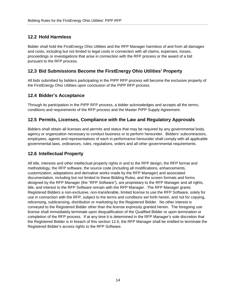# <span id="page-15-0"></span>**12.2 Hold Harmless**

Bidder shall hold the FirstEnergy Ohio Utilities and the RFP Manager harmless of and from all damages and costs, including but not limited to legal costs in connection with all claims, expenses, losses, proceedings or investigations that arise in connection with the RFP process or the award of a bid pursuant to the RFP process.

# <span id="page-15-1"></span>**12.3 Bid Submissions Become the FirstEnergy Ohio Utilities' Property**

All bids submitted by bidders participating in the PIPP RFP process will become the exclusive property of the FirstEnergy Ohio Utilities upon conclusion of the PIPP RFP process.

#### <span id="page-15-2"></span>**12.4 Bidder's Acceptance**

Through its participation in the PIPP RFP process, a bidder acknowledges and accepts all the terms, conditions and requirements of the RFP process and the Master PIPP Supply Agreement.

#### <span id="page-15-3"></span>**12.5 Permits, Licenses, Compliance with the Law and Regulatory Approvals**

Bidders shall obtain all licenses and permits and status that may be required by any governmental body, agency or organization necessary to conduct business or to perform hereunder. Bidders' subcontractors, employees, agents and representatives of each in performance hereunder shall comply with all applicable governmental laws, ordinances, rules, regulations, orders and all other governmental requirements.

#### <span id="page-15-4"></span>**12.6 Intellectual Property**

All title, interests and other intellectual property rights in and to the RFP design, the RFP format and methodology, the RFP software, the source code (including all modifications, enhancements, customization, adaptations and derivative works made by the RFP Manager) and associated documentation, including but not limited to these Bidding Rules, and the screen formats and forms designed by the RFP Manager (the "RFP Software"), are proprietary to the RFP Manager and all rights, title, and interest to the RFP Software remain with the RFP Manager. The RFP Manager grants Registered Bidders a non-exclusive, non-transferable, limited license to use the RFP Software, solely for use in connection with the RFP, subject to the terms and conditions set forth herein, and not for copying, relicensing, sublicensing, distribution or marketing by the Registered Bidder. No other interest is conveyed to the Registered Bidder other than the license expressly granted herein. The foregoing use license shall immediately terminate upon disqualification of the Qualified Bidder or upon termination or completion of the RFP process. If at any time it is determined in the RFP Manager's sole discretion that the Registered Bidder is in breach of this section 12.6, the RFP Manager shall be entitled to terminate the Registered Bidder's access rights to the RFP Software.